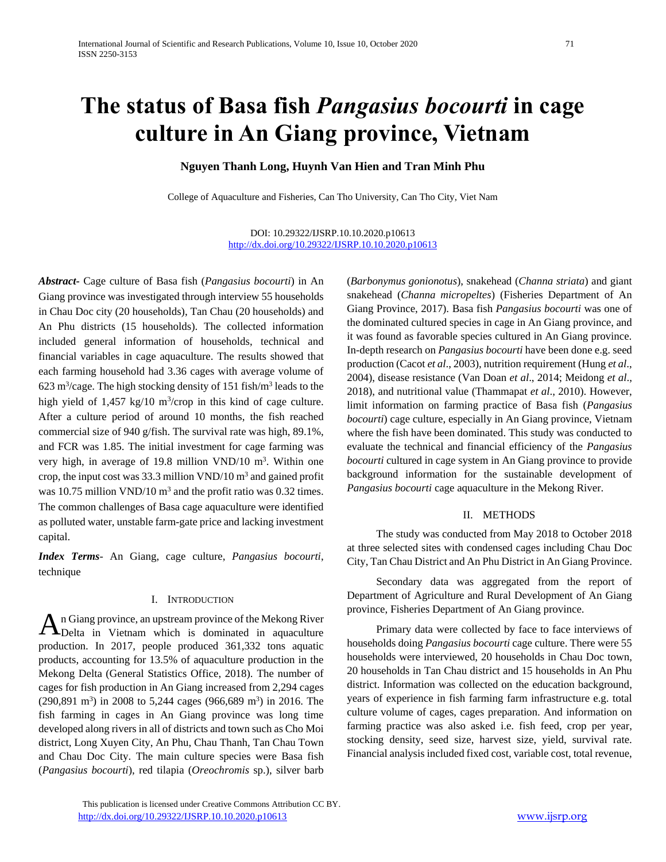# **The status of Basa fish** *Pangasius bocourti* **in cage culture in An Giang province, Vietnam**

# **Nguyen Thanh Long, Huynh Van Hien and Tran Minh Phu**

College of Aquaculture and Fisheries, Can Tho University, Can Tho City, Viet Nam

DOI: 10.29322/IJSRP.10.10.2020.p10613 <http://dx.doi.org/10.29322/IJSRP.10.10.2020.p10613>

*Abstract-* Cage culture of Basa fish (*Pangasius bocourti*) in An Giang province was investigated through interview 55 households in Chau Doc city (20 households), Tan Chau (20 households) and An Phu districts (15 households). The collected information included general information of households, technical and financial variables in cage aquaculture. The results showed that each farming household had 3.36 cages with average volume of  $623 \text{ m}^3/\text{cage}$ . The high stocking density of 151 fish/m<sup>3</sup> leads to the high yield of  $1,457 \text{ kg}/10 \text{ m}^3/\text{crop}$  in this kind of cage culture. After a culture period of around 10 months, the fish reached commercial size of 940 g/fish. The survival rate was high, 89.1%, and FCR was 1.85. The initial investment for cage farming was very high, in average of 19.8 million VND/10 m<sup>3</sup>. Within one crop, the input cost was 33.3 million  $VND/10$  m<sup>3</sup> and gained profit was 10.75 million VND/10  $\text{m}^3$  and the profit ratio was 0.32 times. The common challenges of Basa cage aquaculture were identified as polluted water, unstable farm-gate price and lacking investment capital.

*Index Terms-* An Giang, cage culture, *Pangasius bocourti*, technique

#### I. INTRODUCTION

n Giang province, an upstream province of the Mekong River  $\mathbf{A}$ n Giang province, an upstream province of the Mekong River<br>Delta in Vietnam which is dominated in aquaculture production. In 2017, people produced 361,332 tons aquatic products, accounting for 13.5% of aquaculture production in the Mekong Delta (General Statistics Office, 2018). The number of cages for fish production in An Giang increased from 2,294 cages  $(290,891 \text{ m}^3)$  in 2008 to 5,244 cages  $(966,689 \text{ m}^3)$  in 2016. The fish farming in cages in An Giang province was long time developed along rivers in all of districts and town such as Cho Moi district, Long Xuyen City, An Phu, Chau Thanh, Tan Chau Town and Chau Doc City. The main culture species were Basa fish (*Pangasius bocourti*), red tilapia (*Oreochromis* sp.), silver barb

(*Barbonymus gonionotus*), snakehead (*Channa striata*) and giant snakehead (*Channa micropeltes*) (Fisheries Department of An Giang Province, 2017). Basa fish *Pangasius bocourti* was one of the dominated cultured species in cage in An Giang province, and it was found as favorable species cultured in An Giang province. In-depth research on *Pangasius bocourti* have been done e.g. seed production (Cacot *et al*., 2003), nutrition requirement (Hung *et al*., 2004), disease resistance (Van Doan *et al*., 2014; Meidong *et al*., 2018), and nutritional value (Thammapat *et al*., 2010). However, limit information on farming practice of Basa fish (*Pangasius bocourti*) cage culture, especially in An Giang province, Vietnam where the fish have been dominated. This study was conducted to evaluate the technical and financial efficiency of the *Pangasius bocourti* cultured in cage system in An Giang province to provide background information for the sustainable development of *Pangasius bocourti* cage aquaculture in the Mekong River.

## II. METHODS

The study was conducted from May 2018 to October 2018 at three selected sites with condensed cages including Chau Doc City, Tan Chau District and An Phu District in An Giang Province.

Secondary data was aggregated from the report of Department of Agriculture and Rural Development of An Giang province, Fisheries Department of An Giang province.

Primary data were collected by face to face interviews of households doing *Pangasius bocourti* cage culture. There were 55 households were interviewed, 20 households in Chau Doc town, 20 households in Tan Chau district and 15 households in An Phu district. Information was collected on the education background, years of experience in fish farming farm infrastructure e.g. total culture volume of cages, cages preparation. And information on farming practice was also asked i.e. fish feed, crop per year, stocking density, seed size, harvest size, yield, survival rate. Financial analysis included fixed cost, variable cost, total revenue,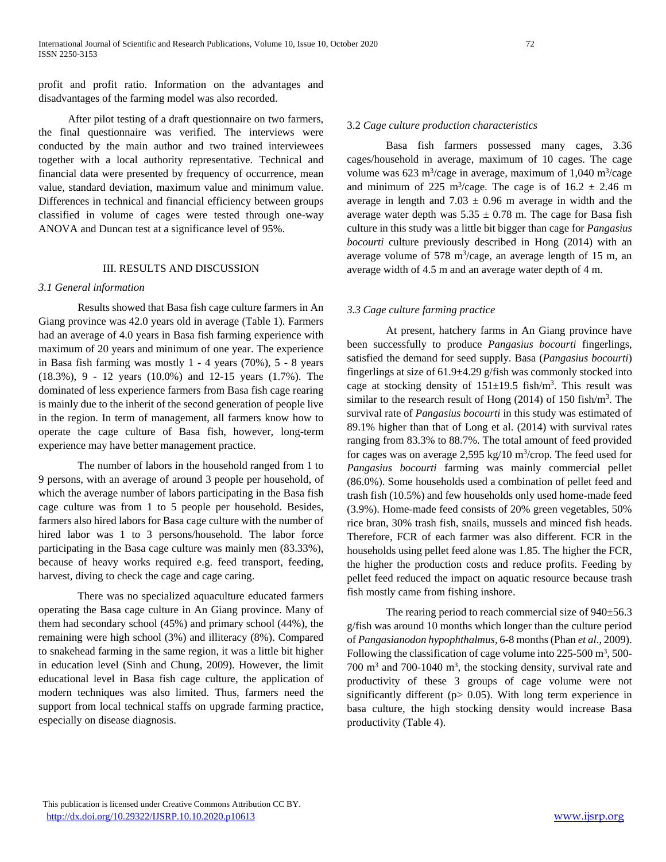profit and profit ratio. Information on the advantages and disadvantages of the farming model was also recorded.

After pilot testing of a draft questionnaire on two farmers, the final questionnaire was verified. The interviews were conducted by the main author and two trained interviewees together with a local authority representative. Technical and financial data were presented by frequency of occurrence, mean value, standard deviation, maximum value and minimum value. Differences in technical and financial efficiency between groups classified in volume of cages were tested through one-way ANOVA and Duncan test at a significance level of 95%.

## III. RESULTS AND DISCUSSION

#### *3.1 General information*

Results showed that Basa fish cage culture farmers in An Giang province was 42.0 years old in average (Table 1). Farmers had an average of 4.0 years in Basa fish farming experience with maximum of 20 years and minimum of one year. The experience in Basa fish farming was mostly 1 - 4 years (70%), 5 - 8 years (18.3%), 9 - 12 years (10.0%) and 12-15 years (1.7%). The dominated of less experience farmers from Basa fish cage rearing is mainly due to the inherit of the second generation of people live in the region. In term of management, all farmers know how to operate the cage culture of Basa fish, however, long-term experience may have better management practice.

The number of labors in the household ranged from 1 to 9 persons, with an average of around 3 people per household, of which the average number of labors participating in the Basa fish cage culture was from 1 to 5 people per household. Besides, farmers also hired labors for Basa cage culture with the number of hired labor was 1 to 3 persons/household. The labor force participating in the Basa cage culture was mainly men (83.33%), because of heavy works required e.g. feed transport, feeding, harvest, diving to check the cage and cage caring.

There was no specialized aquaculture educated farmers operating the Basa cage culture in An Giang province. Many of them had secondary school (45%) and primary school (44%), the remaining were high school (3%) and illiteracy (8%). Compared to snakehead farming in the same region, it was a little bit higher in education level (Sinh and Chung, 2009). However, the limit educational level in Basa fish cage culture, the application of modern techniques was also limited. Thus, farmers need the support from local technical staffs on upgrade farming practice, especially on disease diagnosis.

#### 3.2 *Cage culture production characteristics*

Basa fish farmers possessed many cages, 3.36 cages/household in average, maximum of 10 cages. The cage volume was  $623 \text{ m}^3/\text{cage}$  in average, maximum of  $1,040 \text{ m}^3/\text{cage}$ and minimum of 225 m<sup>3</sup>/cage. The cage is of  $16.2 \pm 2.46$  m average in length and  $7.03 \pm 0.96$  m average in width and the average water depth was  $5.35 \pm 0.78$  m. The cage for Basa fish culture in this study was a little bit bigger than cage for *Pangasius bocourti* culture previously described in Hong (2014) with an average volume of 578  $\text{m}^3$ /cage, an average length of 15 m, an average width of 4.5 m and an average water depth of 4 m.

#### *3.3 Cage culture farming practice*

At present, hatchery farms in An Giang province have been successfully to produce *Pangasius bocourti* fingerlings, satisfied the demand for seed supply. Basa (*Pangasius bocourti*) fingerlings at size of 61.9±4.29 g/fish was commonly stocked into cage at stocking density of  $151 \pm 19.5$  fish/m<sup>3</sup>. This result was similar to the research result of Hong  $(2014)$  of 150 fish/m<sup>3</sup>. The survival rate of *Pangasius bocourti* in this study was estimated of 89.1% higher than that of Long et al. (2014) with survival rates ranging from 83.3% to 88.7%. The total amount of feed provided for cages was on average  $2,595$  kg/10 m<sup>3</sup>/crop. The feed used for *Pangasius bocourti* farming was mainly commercial pellet (86.0%). Some households used a combination of pellet feed and trash fish (10.5%) and few households only used home-made feed (3.9%). Home-made feed consists of 20% green vegetables, 50% rice bran, 30% trash fish, snails, mussels and minced fish heads. Therefore, FCR of each farmer was also different. FCR in the households using pellet feed alone was 1.85. The higher the FCR, the higher the production costs and reduce profits. Feeding by pellet feed reduced the impact on aquatic resource because trash fish mostly came from fishing inshore.

The rearing period to reach commercial size of  $940±56.3$ g/fish was around 10 months which longer than the culture period of *Pangasianodon hypophthalmus,* 6-8 months(Phan *et al*., 2009). Following the classification of cage volume into  $225-500$  m<sup>3</sup>, 500-700 m<sup>3</sup> and 700-1040 m<sup>3</sup>, the stocking density, survival rate and productivity of these 3 groups of cage volume were not significantly different ( $p$  > 0.05). With long term experience in basa culture, the high stocking density would increase Basa productivity (Table 4).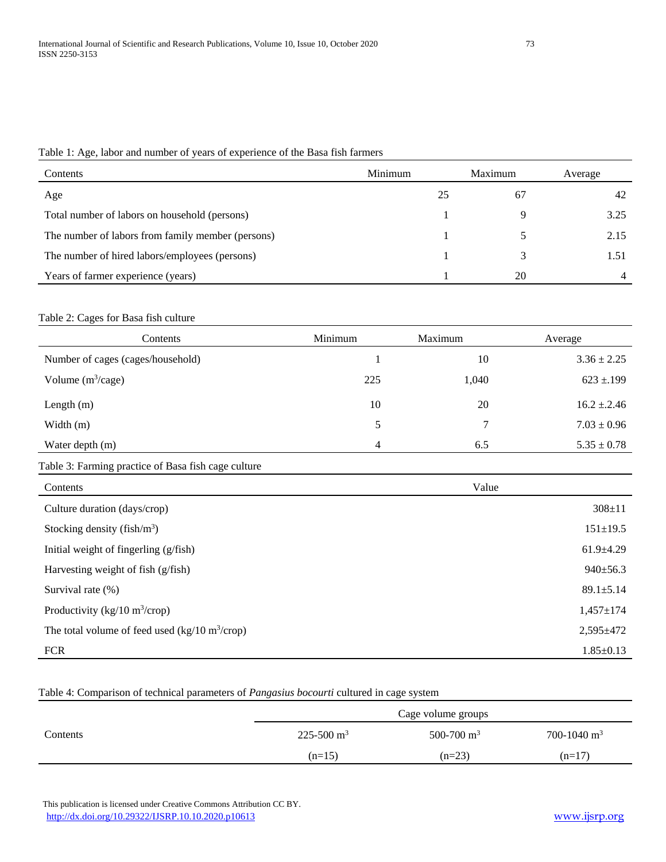Table 1: Age, labor and number of years of experience of the Basa fish farmers

| Contents                                          | Minimum | Maximum | Average |
|---------------------------------------------------|---------|---------|---------|
| Age                                               | 25      | -67     | -42     |
| Total number of labors on household (persons)     |         |         | 3.25    |
| The number of labors from family member (persons) |         |         | 2.15    |
| The number of hired labors/employees (persons)    |         |         | 1.51    |
| Years of farmer experience (years)                |         | 20      |         |

## Table 2: Cages for Basa fish culture

| Contents                          | Minimum | Maximum | Average           |
|-----------------------------------|---------|---------|-------------------|
| Number of cages (cages/household) |         | 10      | $3.36 \pm 2.25$   |
| Volume $(m^3/cage)$               | 225     | 1,040   | $623 \pm 199$     |
| Length $(m)$                      | 10      | 20      | $16.2 \pm 0.2.46$ |
| Width $(m)$                       | 5       | 7       | $7.03 \pm 0.96$   |
| Water depth (m)                   | 4       | 6.5     | $5.35 \pm 0.78$   |

# Table 3: Farming practice of Basa fish cage culture

| Contents                                                   | Value           |
|------------------------------------------------------------|-----------------|
| Culture duration (days/crop)                               | $308 \pm 11$    |
| Stocking density (fish/ $m^3$ )                            | $151 \pm 19.5$  |
| Initial weight of fingerling (g/fish)                      | $61.9+4.29$     |
| Harvesting weight of fish (g/fish)                         | $940 \pm 56.3$  |
| Survival rate $(\%)$                                       | $89.1 \pm 5.14$ |
| Productivity (kg/10 m <sup>3</sup> /crop)                  | $1,457 \pm 174$ |
| The total volume of feed used (kg/10 m <sup>3</sup> /crop) | $2,595 \pm 472$ |
| <b>FCR</b>                                                 | $1.85 \pm 0.13$ |

# Table 4: Comparison of technical parameters of *Pangasius bocourti* cultured in cage system

|          | Cage volume groups         |               |                         |
|----------|----------------------------|---------------|-------------------------|
| Contents | $225 - 500$ m <sup>3</sup> | 500-700 $m^3$ | 700-1040 m <sup>3</sup> |
|          | $(n=15)$                   | $(n=23)$      | $(n=17)$                |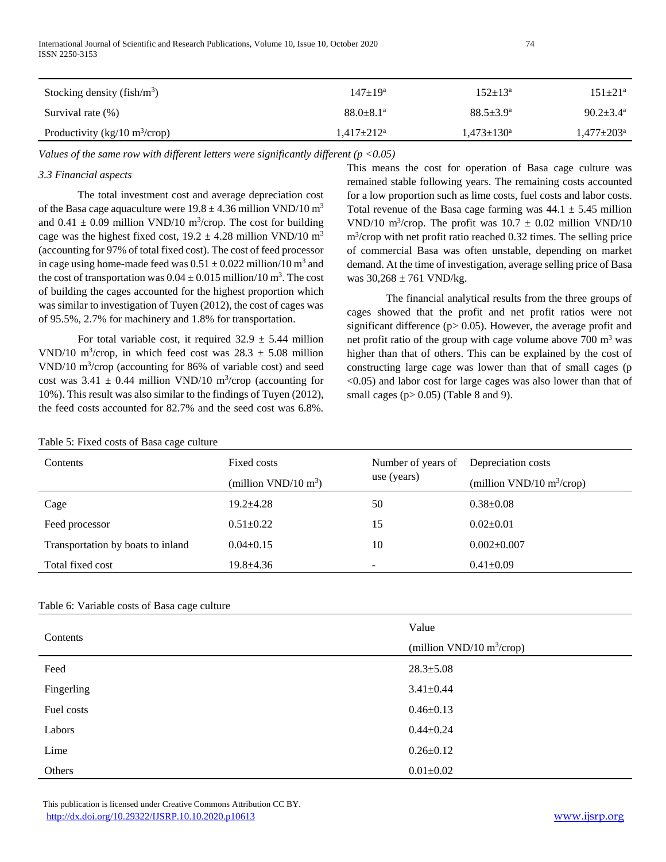| Stocking density (fish/ $m3$ )            | $147+19^a$                | $152+13^a$        | $151 \pm 21$ <sup>a</sup>    |
|-------------------------------------------|---------------------------|-------------------|------------------------------|
| Survival rate (%)                         | $88.0 + 8.1$ <sup>a</sup> | $88.5+3.9^a$      | $90.2 \pm 3.4^{\text{a}}$    |
| Productivity (kg/10 m <sup>3</sup> /crop) | $1.417 \pm 212^a$         | $1,473 \pm 130^a$ | $1.477 \pm 203$ <sup>a</sup> |

*Values of the same row with different letters were significantly different (p <0.05)*

# *3.3 Financial aspects*

The total investment cost and average depreciation cost of the Basa cage aquaculture were  $19.8 \pm 4.36$  million VND/10 m<sup>3</sup> and  $0.41 \pm 0.09$  million VND/10 m<sup>3</sup>/crop. The cost for building cage was the highest fixed cost,  $19.2 \pm 4.28$  million VND/10 m<sup>3</sup> (accounting for 97% of total fixed cost). The cost of feed processor in cage using home-made feed was  $0.51 \pm 0.022$  million/10 m<sup>3</sup> and the cost of transportation was  $0.04 \pm 0.015$  million/10 m<sup>3</sup>. The cost of building the cages accounted for the highest proportion which was similar to investigation of Tuyen (2012), the cost of cages was of 95.5%, 2.7% for machinery and 1.8% for transportation.

For total variable cost, it required  $32.9 \pm 5.44$  million VND/10 m<sup>3</sup>/crop, in which feed cost was  $28.3 \pm 5.08$  million VND/10 m<sup>3</sup> /crop (accounting for 86% of variable cost) and seed cost was  $3.41 \pm 0.44$  million VND/10 m<sup>3</sup>/crop (accounting for 10%). This result was also similar to the findings of Tuyen (2012), the feed costs accounted for 82.7% and the seed cost was 6.8%.

This means the cost for operation of Basa cage culture was remained stable following years. The remaining costs accounted for a low proportion such as lime costs, fuel costs and labor costs. Total revenue of the Basa cage farming was  $44.1 \pm 5.45$  million VND/10 m<sup>3</sup>/crop. The profit was  $10.7 \pm 0.02$  million VND/10 m<sup>3</sup> /crop with net profit ratio reached 0.32 times. The selling price of commercial Basa was often unstable, depending on market demand. At the time of investigation, average selling price of Basa was  $30,268 \pm 761$  VND/kg.

The financial analytical results from the three groups of cages showed that the profit and net profit ratios were not significant difference ( $p$  $>$  0.05). However, the average profit and net profit ratio of the group with cage volume above  $700 \text{ m}^3$  was higher than that of others. This can be explained by the cost of constructing large cage was lower than that of small cages (p <0.05) and labor cost for large cages was also lower than that of small cages ( $p > 0.05$ ) (Table 8 and 9).

| $\tilde{}$                        |                                                 |                                   |                                                    |
|-----------------------------------|-------------------------------------------------|-----------------------------------|----------------------------------------------------|
| Contents                          | Fixed costs<br>(million VND/10 $\mathrm{m}^3$ ) | Number of years of<br>use (years) | Depreciation costs<br>(million VND/10 $m^3$ /crop) |
|                                   |                                                 |                                   |                                                    |
| Cage                              | $19.2 + 4.28$                                   | 50                                | $0.38 \pm 0.08$                                    |
| Feed processor                    | $0.51 \pm 0.22$                                 | 15                                | $0.02 \pm 0.01$                                    |
| Transportation by boats to inland | $0.04 \pm 0.15$                                 | 10                                | $0.002 \pm 0.007$                                  |
| Total fixed cost                  | $19.8 \pm 4.36$                                 | $\overline{\phantom{a}}$          | $0.41 \pm 0.09$                                    |

# Table 6: Variable costs of Basa cage culture

Table 5: Fixed costs of Basa cage culture

| Contents   | Value                        |  |  |
|------------|------------------------------|--|--|
|            | (million VND/10 $m^3$ /crop) |  |  |
| Feed       | $28.3 \pm 5.08$              |  |  |
| Fingerling | $3.41 \pm 0.44$              |  |  |
| Fuel costs | $0.46 \pm 0.13$              |  |  |
| Labors     | $0.44 \pm 0.24$              |  |  |
| Lime       | $0.26 \pm 0.12$              |  |  |
| Others     | $0.01 \pm 0.02$              |  |  |

 This publication is licensed under Creative Commons Attribution CC BY. <http://dx.doi.org/10.29322/IJSRP.10.10.2020.p10613> [www.ijsrp.org](http://ijsrp.org/)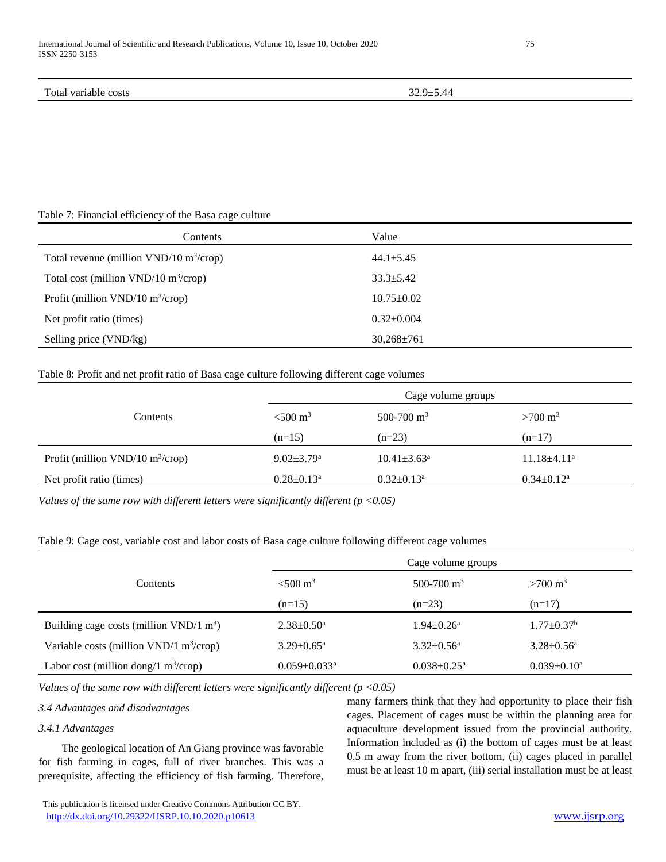#### Table 7: Financial efficiency of the Basa cage culture

| Contents                                              | Value            |
|-------------------------------------------------------|------------------|
| Total revenue (million $VND/10$ m <sup>3</sup> /crop) | $44.1 \pm 5.45$  |
| Total cost (million VND/10 $\text{m}^3/\text{crop}$ ) | $33.3 \pm 5.42$  |
| Profit (million $VND/10$ m <sup>3</sup> /crop)        | $10.75 \pm 0.02$ |
| Net profit ratio (times)                              | $0.32 \pm 0.004$ |
| Selling price (VND/kg)                                | $30,268 \pm 761$ |

#### Table 8: Profit and net profit ratio of Basa cage culture following different cage volumes

|                                                | Cage volume groups           |                               |                    |  |
|------------------------------------------------|------------------------------|-------------------------------|--------------------|--|
| Contents                                       | $< 500 \text{ m}^3$          | $500-700$ m <sup>3</sup>      | $>700 \text{ m}^3$ |  |
|                                                | $(n=15)$                     | $(n=23)$                      | $(n=17)$           |  |
| Profit (million $VND/10$ m <sup>3</sup> /crop) | $9.02 \pm 3.79$ <sup>a</sup> | $10.41 \pm 3.63$ <sup>a</sup> | $11.18\pm4.11^a$   |  |
| Net profit ratio (times)                       | $0.28 \pm 0.13^a$            | $0.32 \pm 0.13^a$             | $0.34 \pm 0.12^a$  |  |

*Values of the same row with different letters were significantly different (p <0.05)*

# Table 9: Cage cost, variable cost and labor costs of Basa cage culture following different cage volumes

|                                            | Cage volume groups             |                              |                         |  |  |
|--------------------------------------------|--------------------------------|------------------------------|-------------------------|--|--|
| <b>Contents</b>                            | $< 500 \text{ m}^3$            | 500-700 $m^3$                | $>700 \text{ m}^3$      |  |  |
|                                            | $(n=15)$                       | $(n=23)$                     | $(n=17)$                |  |  |
| Building cage costs (million VND/1 $m3$ )  | $2.38 \pm 0.50^{\circ}$        | $1.94 \pm 0.26$ <sup>a</sup> | $1.77 \pm 0.37^b$       |  |  |
| Variable costs (million VND/1 $m^3$ /crop) | $3.29 \pm 0.65^{\mathrm{a}}$   | $3.32 \pm 0.56^{\circ}$      | $3.28 \pm 0.56^{\circ}$ |  |  |
| Labor cost (million dong/1 $m^3$ /crop)    | $0.059 \pm 0.033$ <sup>a</sup> | $0.038 \pm 0.25^{\text{a}}$  | $0.039 \pm 0.10^a$      |  |  |

*Values of the same row with different letters were significantly different (p <0.05)*

## *3.4 Advantages and disadvantages*

## *3.4.1 Advantages*

The geological location of An Giang province was favorable for fish farming in cages, full of river branches. This was a prerequisite, affecting the efficiency of fish farming. Therefore,

 This publication is licensed under Creative Commons Attribution CC BY. <http://dx.doi.org/10.29322/IJSRP.10.10.2020.p10613> [www.ijsrp.org](http://ijsrp.org/)

many farmers think that they had opportunity to place their fish cages. Placement of cages must be within the planning area for aquaculture development issued from the provincial authority. Information included as (i) the bottom of cages must be at least 0.5 m away from the river bottom, (ii) cages placed in parallel must be at least 10 m apart, (iii) serial installation must be at least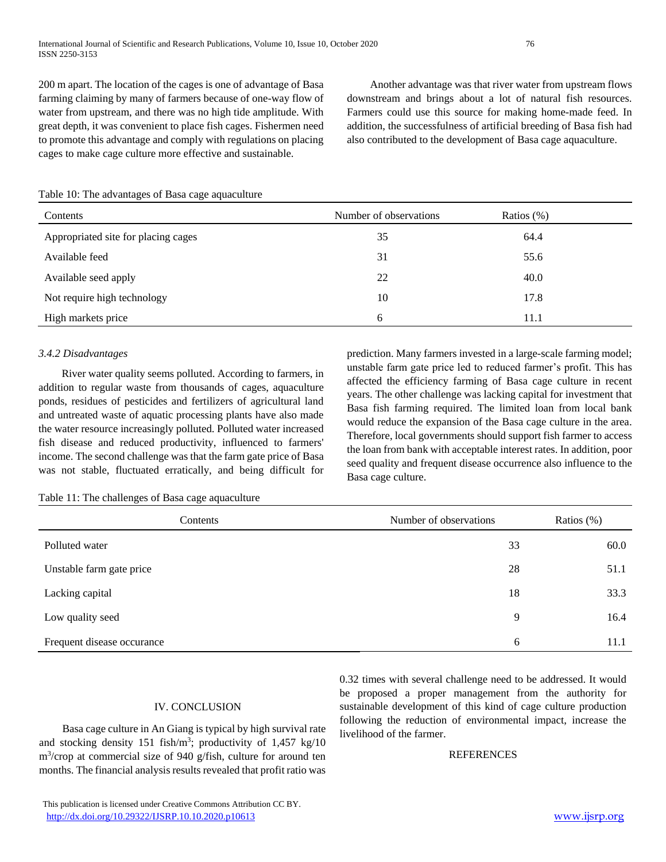200 m apart. The location of the cages is one of advantage of Basa farming claiming by many of farmers because of one-way flow of water from upstream, and there was no high tide amplitude. With great depth, it was convenient to place fish cages. Fishermen need to promote this advantage and comply with regulations on placing cages to make cage culture more effective and sustainable.

Another advantage was that river water from upstream flows downstream and brings about a lot of natural fish resources. Farmers could use this source for making home-made feed. In addition, the successfulness of artificial breeding of Basa fish had also contributed to the development of Basa cage aquaculture.

|  |  |  |  | Table 10: The advantages of Basa cage aquaculture |  |
|--|--|--|--|---------------------------------------------------|--|
|  |  |  |  |                                                   |  |

| Contents                            | Number of observations | Ratios $(\%)$ |
|-------------------------------------|------------------------|---------------|
| Appropriated site for placing cages | 35                     | 64.4          |
| Available feed                      | 31                     | 55.6          |
| Available seed apply                | 22                     | 40.0          |
| Not require high technology         | 10                     | 17.8          |
| High markets price                  | 6                      | 11.1          |

## *3.4.2 Disadvantages*

River water quality seems polluted. According to farmers, in addition to regular waste from thousands of cages, aquaculture ponds, residues of pesticides and fertilizers of agricultural land and untreated waste of aquatic processing plants have also made the water resource increasingly polluted. Polluted water increased fish disease and reduced productivity, influenced to farmers' income. The second challenge was that the farm gate price of Basa was not stable, fluctuated erratically, and being difficult for prediction. Many farmers invested in a large-scale farming model; unstable farm gate price led to reduced farmer's profit. This has affected the efficiency farming of Basa cage culture in recent years. The other challenge was lacking capital for investment that Basa fish farming required. The limited loan from local bank would reduce the expansion of the Basa cage culture in the area. Therefore, local governments should support fish farmer to access the loan from bank with acceptable interest rates. In addition, poor seed quality and frequent disease occurrence also influence to the Basa cage culture.

Table 11: The challenges of Basa cage aquaculture

| Contents                   | Number of observations | Ratios $(\%)$ |
|----------------------------|------------------------|---------------|
| Polluted water             | 33                     | 60.0          |
| Unstable farm gate price   | 28                     | 51.1          |
| Lacking capital            | 18                     | 33.3          |
| Low quality seed           | 9                      | 16.4          |
| Frequent disease occurance | 6                      | 11.1          |

## IV. CONCLUSION

Basa cage culture in An Giang is typical by high survival rate and stocking density  $151$  fish/m<sup>3</sup>; productivity of  $1,457$  kg/10 m<sup>3</sup> /crop at commercial size of 940 g/fish, culture for around ten months. The financial analysis results revealed that profit ratio was

0.32 times with several challenge need to be addressed. It would be proposed a proper management from the authority for sustainable development of this kind of cage culture production following the reduction of environmental impact, increase the livelihood of the farmer.

# **REFERENCES**